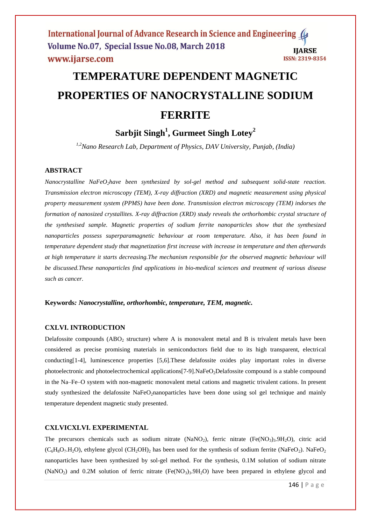# **TEMPERATURE DEPENDENT MAGNETIC PROPERTIES OF NANOCRYSTALLINE SODIUM FERRITE**

# **Sarbjit Singh<sup>1</sup> , Gurmeet Singh Lotey<sup>2</sup>**

*1,2Nano Research Lab, Department of Physics, DAV University, Punjab, (India)*

# **ABSTRACT**

*Nanocrystalline NaFeO2have been synthesized by sol-gel method and subsequent solid-state reaction. Transmission electron microscopy (TEM), X-ray diffraction (XRD) and magnetic measurement using physical property measurement system (PPMS) have been done. Transmission electron microscopy (TEM) indorses the formation of nanosized crystallites. X-ray diffraction (XRD) study reveals the orthorhombic crystal structure of the synthesised sample. Magnetic properties of sodium ferrite nanoparticles show that the synthesized nanoparticles possess superparamagnetic behaviour at room temperature. Also, it has been found in temperature dependent study that magnetization first increase with increase in temperature and then afterwards at high temperature it starts decreasing.The mechanism responsible for the observed magnetic behaviour will be discussed.These nanoparticles find applications in bio-medical sciences and treatment of various disease such as cancer.*

**Keywords***: Nanocrystalline, orthorhombic, temperature, TEM, magnetic.*

# **CXLVI. INTRODUCTION**

Delafossite compounds  $(ABO<sub>2</sub>$  structure) where A is monovalent metal and B is trivalent metals have been considered as precise promising materials in semiconductors field due to its high transparent, electrical conducting[1-4], luminescence properties [5,6].These delafossite oxides play important roles in diverse photoelectronic and photoelectrochemical applications[7-9].NaFeO<sub>2</sub>Delafossite compound is a stable compound in the Na–Fe–O system with non-magnetic monovalent metal cations and magnetic trivalent cations. In present study synthesized the delafossite NaFeO<sub>2</sub>nanoparticles have been done using sol gel technique and mainly temperature dependent magnetic study presented.

### **CXLVICXLVI. EXPERIMENTAL**

The precursors chemicals such as sodium nitrate (NaNO<sub>2</sub>), ferric nitrate (Fe(NO<sub>3</sub>)<sub>3</sub>.9H<sub>2</sub>O), citric acid  $(C_6H_8O_7.H_2O)$ , ethylene glycol  $(CH_2OH)_2$  has been used for the synthesis of sodium ferrite (NaFeO<sub>2</sub>). NaFeO<sub>2</sub> nanoparticles have been synthesized by sol-gel method. For the synthesis, 0.1M solution of sodium nitrate  $(NaNO<sub>2</sub>)$  and 0.2M solution of ferric nitrate (Fe(NO<sub>3</sub>)<sub>3</sub>.9H<sub>2</sub>O) have been prepared in ethylene glycol and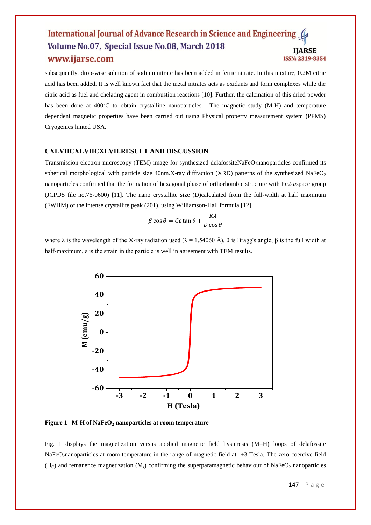subsequently, drop-wise solution of sodium nitrate has been added in ferric nitrate. In this mixture, 0.2M citric acid has been added. It is well known fact that the metal nitrates acts as oxidants and form complexes while the citric acid as fuel and chelating agent in combustion reactions [10]. Further, the calcination of this dried powder has been done at 400°C to obtain crystalline nanoparticles. The magnetic study (M-H) and temperature dependent magnetic properties have been carried out using Physical property measurement system (PPMS) Cryogenics limted USA.

#### **CXLVIICXLVIICXLVII.RESULT AND DISCUSSION**

Transmission electron microscopy (TEM) image for synthesized delafossiteNaFeO<sub>2</sub>nanoparticles confirmed its spherical morphological with particle size 40nm.X-ray diffraction (XRD) patterns of the synthesized NaFeO<sub>2</sub> nanoparticles confirmed that the formation of hexagonal phase of orthorhombic structure with Pn2<sub>1</sub>*aspace group* (JCPDS file no.76-0600) [11]. The nano crystallite size (D)calculated from the full-width at half maximum (FWHM) of the intense crystallite peak (201), using Williamson-Hall formula [12].

$$
\beta \cos \theta = C \varepsilon \tan \theta + \frac{K\lambda}{D\cos \theta}
$$

where  $\lambda$  is the wavelength of the X-ray radiation used ( $\lambda = 1.54060 \text{ Å}$ ),  $\theta$  is Bragg's angle,  $\beta$  is the full width at half-maximum, ε is the strain in the particle is well in agreement with TEM results.



**Figure 1 M-H of NaFeO<sup>2</sup> nanoparticles at room temperature**

Fig. 1 displays the magnetization versus applied magnetic field hysteresis (M–H) loops of delafossite NaFeO<sub>2</sub>nanoparticles at room temperature in the range of magnetic field at  $\pm$ 3 Tesla. The zero coercive field  $(H<sub>C</sub>)$  and remanence magnetization  $(M<sub>r</sub>)$  confirming the superparamagnetic behaviour of NaFeO<sub>2</sub> nanoparticles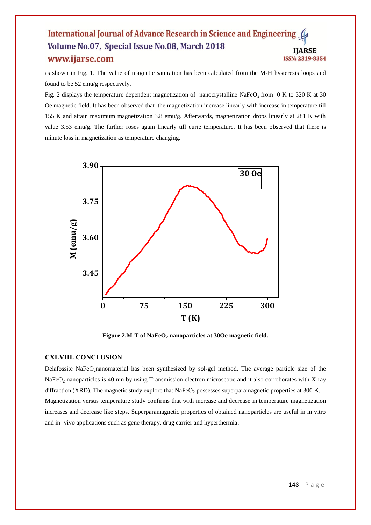as shown in Fig. 1. The value of magnetic saturation has been calculated from the M-H hysteresis loops and found to be 52 emu/g respectively.

Fig. 2 displays the temperature dependent magnetization of nanocrystalline NaFeO<sub>2</sub> from 0 K to 320 K at 30 Oe magnetic field. It has been observed that the magnetization increase linearly with increase in temperature till 155 K and attain maximum magnetization 3.8 emu/g. Afterwards, magnetization drops linearly at 281 K with value 3.53 emu/g. The further roses again linearly till curie temperature. It has been observed that there is minute loss in magnetization as temperature changing.



**Figure 2.M-T of NaFeO<sup>2</sup> nanoparticles at 30Oe magnetic field.**

# **CXLVIII. CONCLUSION**

Delafossite NaFeO<sub>2</sub>nanomaterial has been synthesized by sol-gel method. The average particle size of the NaFeO<sub>2</sub> nanoparticles is 40 nm by using Transmission electron microscope and it also corroborates with X-ray diffraction (XRD). The magnetic study explore that  $NaFeO<sub>2</sub>$  possesses superparamagnetic properties at 300 K. Magnetization versus temperature study confirms that with increase and decrease in temperature magnetization increases and decrease like steps. Superparamagnetic properties of obtained nanoparticles are useful in in vitro and in- vivo applications such as gene therapy, drug carrier and hyperthermia.